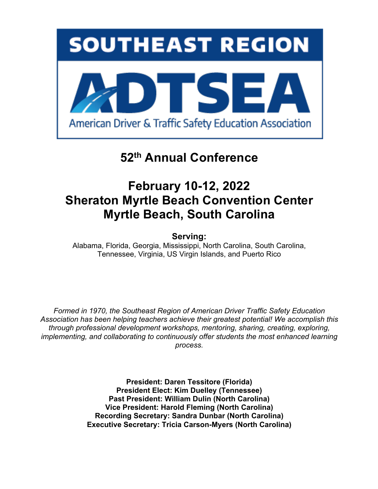

# **52th Annual Conference**

# **February 10-12, 2022 Sheraton Myrtle Beach Convention Center Myrtle Beach, South Carolina**

**Serving:**

Alabama, Florida, Georgia, Mississippi, North Carolina, South Carolina, Tennessee, Virginia, US Virgin Islands, and Puerto Rico

*Formed in 1970, the Southeast Region of American Driver Traffic Safety Education Association has been helping teachers achieve their greatest potential! We accomplish this through professional development workshops, mentoring, sharing, creating, exploring, implementing, and collaborating to continuously offer students the most enhanced learning process.*

> **President: Daren Tessitore (Florida) President Elect: Kim Duelley (Tennessee) Past President: William Dulin (North Carolina) Vice President: Harold Fleming (North Carolina) Recording Secretary: Sandra Dunbar (North Carolina) Executive Secretary: Tricia Carson-Myers (North Carolina)**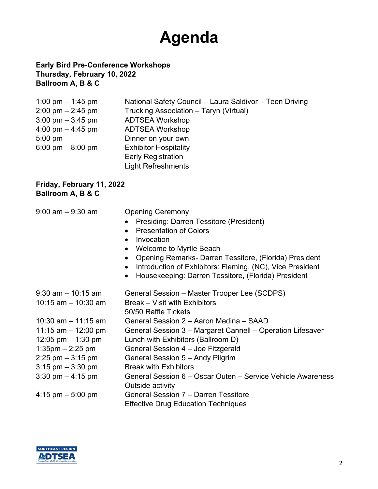# **Agenda**

### **Early Bird Pre-Conference Workshops Thursday, February 10, 2022 Ballroom A, B & C**

| 1:00 pm $-$ 1:45 pm                 | National Safety Council - Laura Saldivor - Teen Driving |
|-------------------------------------|---------------------------------------------------------|
| $2:00 \text{ pm} - 2:45 \text{ pm}$ | Trucking Association - Taryn (Virtual)                  |
| $3:00 \text{ pm} - 3:45 \text{ pm}$ | <b>ADTSEA Workshop</b>                                  |
| 4:00 pm $-$ 4:45 pm                 | <b>ADTSEA Workshop</b>                                  |
| $5:00 \text{ pm}$                   | Dinner on your own                                      |
| 6:00 pm $-$ 8:00 pm                 | <b>Exhibitor Hospitality</b>                            |
|                                     | <b>Early Registration</b>                               |
|                                     | <b>Light Refreshments</b>                               |

#### **Friday, February 11, 2022 Ballroom A, B & C**

| $9:00$ am $-9:30$ am                | <b>Opening Ceremony</b><br>Presiding: Darren Tessitore (President)<br><b>Presentation of Colors</b><br>$\bullet$<br>Invocation<br>$\bullet$<br>Welcome to Myrtle Beach<br>Opening Remarks- Darren Tessitore, (Florida) President<br>$\bullet$<br>Introduction of Exhibitors: Fleming, (NC), Vice President<br>$\bullet$<br>Housekeeping: Darren Tessitore, (Florida) President |
|-------------------------------------|--------------------------------------------------------------------------------------------------------------------------------------------------------------------------------------------------------------------------------------------------------------------------------------------------------------------------------------------------------------------------------|
| $9:30$ am $-10:15$ am               | General Session - Master Trooper Lee (SCDPS)                                                                                                                                                                                                                                                                                                                                   |
| 10:15 am $-$ 10:30 am               | Break – Visit with Exhibitors<br>50/50 Raffle Tickets                                                                                                                                                                                                                                                                                                                          |
| 10:30 am $-$ 11:15 am               | General Session 2 – Aaron Medina – SAAD                                                                                                                                                                                                                                                                                                                                        |
| 11:15 am $-$ 12:00 pm               | General Session 3 - Margaret Cannell - Operation Lifesaver                                                                                                                                                                                                                                                                                                                     |
| 12:05 pm $-$ 1:30 pm                | Lunch with Exhibitors (Ballroom D)                                                                                                                                                                                                                                                                                                                                             |
| $1:35$ pm $-2:25$ pm                | General Session 4 - Joe Fitzgerald                                                                                                                                                                                                                                                                                                                                             |
| $2:25$ pm $-3:15$ pm                | General Session 5 - Andy Pilgrim                                                                                                                                                                                                                                                                                                                                               |
| $3:15$ pm $-3:30$ pm                | <b>Break with Exhibitors</b>                                                                                                                                                                                                                                                                                                                                                   |
| $3:30 \text{ pm} - 4:15 \text{ pm}$ | General Session 6 – Oscar Outen – Service Vehicle Awareness<br>Outside activity                                                                                                                                                                                                                                                                                                |
| 4:15 pm $-$ 5:00 pm                 | General Session 7 - Darren Tessitore<br><b>Effective Drug Education Techniques</b>                                                                                                                                                                                                                                                                                             |

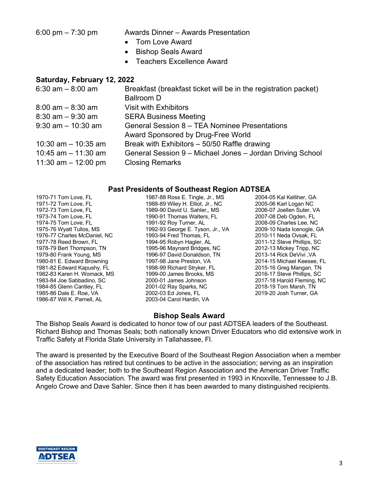6:00 pm – 7:30 pm Awards Dinner – Awards Presentation

- Tom Love Award
- Bishop Seals Award
- Teachers Excellence Award

#### **Saturday, February 12, 2022**

| $6:30$ am $-8:00$ am  | Breakfast (breakfast ticket will be in the registration packet) |
|-----------------------|-----------------------------------------------------------------|
|                       | <b>Ballroom D</b>                                               |
| $8:00$ am $-8:30$ am  | <b>Visit with Exhibitors</b>                                    |
| $8:30$ am $-9:30$ am  | <b>SERA Business Meeting</b>                                    |
| $9:30$ am $-10:30$ am | General Session 8 - TEA Nominee Presentations                   |
|                       | Award Sponsored by Drug-Free World                              |
| 10:30 am $-$ 10:35 am | Break with Exhibitors - 50/50 Raffle drawing                    |
| 10:45 am $-$ 11:30 am | General Session 9 - Michael Jones - Jordan Driving School       |
| 11:30 am $-$ 12:00 pm | <b>Closing Remarks</b>                                          |

#### **Past Presidents of Southeast Region ADTSEA**

1970-71 Tom Love, FL 1971-72 Tom Love, FL 1972-73 Tom Love, FL 1973-74 Tom Love, FL 1974-75 Tom Love, FL 1975-76 Wyatt Tullos, MS 1976-77 Charles McDaniel, NC 1977-78 Reed Brown, FL 1978-79 Bert Thompson, TN 1979-80 Frank Young, MS 1980-81 E. Edward Browning 1981-82 Edward Kapushy, FL 1982-83 Karen H. Womack, MS 1983-84 Joe Sabbadino, SC 1984-85 Glenn Cantley, FL 1985-86 Dale E. Roe, VA 1986-87 Will K. Parnell, AL

1987-88 Ross E. Tingle, Jr., MS 1988-89 Wiley H. Elliot, Jr., NC 1989-90 David U. Sahler,, MS 1990-91 Thomas Walters, FL 1991-92 Roy Turner, AL 1992-93 George E. Tyson, Jr., VA 1993-94 Fred Thomas, FL 1994-95 Robyn Hagler, AL 1995-96 Maynard Bridges, NC 1996-97 David Donaldson, TN 1997-98 Jane Preston, VA 1998-99 Richard Stryker, FL 1999-00 James Brooks, MS 2000-01 James Johnson 2001-02 Ray Sparks, NC 2002-03 Ed Jones, FL 2003-04 Carol Hardin, VA

2004-05 Kal Kelliher, GA 2005-06 Karl Logan NC 2006-07 Joellen Suter, VA 2007-08 Deb Ogden, FL 2008-09 Charles Lee, NC 2009-10 Nada Icenogle, GA 2010-11 Neda Ovsak, FL 2011-12 Steve Phillips, SC 2012-13 Mickey Tripp, NC 2013-14 Rick DeVivi ,VA 2014-15 Michael Keesee, FL 2015-16 Greg Mangan, TN 2016-17 Steve Phillips, SC 2017-18 Harold Fleming, NC 2018-19 Tom Marsh, TN 2019-20 Josh Turner, GA

#### **Bishop Seals Award**

The Bishop Seals Award is dedicated to honor tow of our past ADTSEA leaders of the Southeast. Richard Bishop and Thomas Seals; both nationally known Driver Educators who did extensive work in Traffic Safety at Florida State University in Tallahassee, Fl.

The award is presented by the Executive Board of the Southeast Region Association when a member of the association has retired but continues to be active in the association; serving as an inspiration and a dedicated leader; both to the Southeast Region Association and the American Driver Traffic Safety Education Association. The award was first presented in 1993 in Knoxville, Tennessee to J.B. Angelo Crowe and Dave Sahler. Since then it has been awarded to many distinguished recipients.

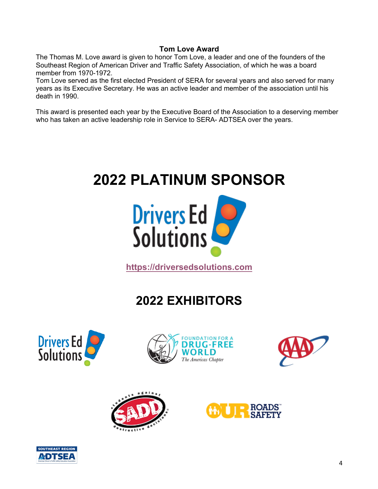### **Tom Love Award**

The Thomas M. Love award is given to honor Tom Love, a leader and one of the founders of the Southeast Region of American Driver and Traffic Safety Association, of which he was a board member from 1970-1972.

Tom Love served as the first elected President of SERA for several years and also served for many years as its Executive Secretary. He was an active leader and member of the association until his death in 1990.

This award is presented each year by the Executive Board of the Association to a deserving member who has taken an active leadership role in Service to SERA- ADTSEA over the years.





**https://driversedsolutions.com**

# **2022 EXHIBITORS**











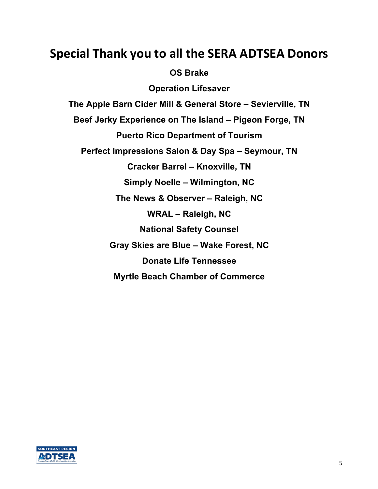# **Special Thank you to all the SERA ADTSEA Donors**

## **OS Brake**

**Operation Lifesaver The Apple Barn Cider Mill & General Store – Sevierville, TN Beef Jerky Experience on The Island – Pigeon Forge, TN Puerto Rico Department of Tourism Perfect Impressions Salon & Day Spa – Seymour, TN Cracker Barrel – Knoxville, TN Simply Noelle – Wilmington, NC The News & Observer – Raleigh, NC WRAL – Raleigh, NC National Safety Counsel Gray Skies are Blue – Wake Forest, NC Donate Life Tennessee Myrtle Beach Chamber of Commerce**